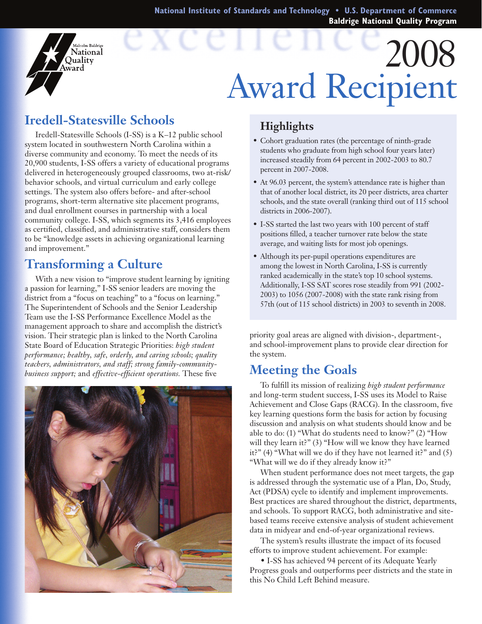**National Institute of Standards and Technology • U.S. Department of Commerce Baldrige National Quality Program**

# 2008 Award Recipient

## **Iredell-Statesville Schools**

falcolm Baldrige National Ouality ward

Iredell-Statesville Schools (I-SS) is a K–12 public school system located in southwestern North Carolina within a diverse community and economy. To meet the needs of its 20,900 students, I-SS offers a variety of educational programs delivered in heterogeneously grouped classrooms, two at-risk/ behavior schools, and virtual curriculum and early college settings. The system also offers before- and after-school programs, short-term alternative site placement programs, and dual enrollment courses in partnership with a local community college. I-SS, which segments its 3,416 employees as certified, classified, and administrative staff, considers them to be "knowledge assets in achieving organizational learning and improvement."

### **Transforming a Culture**

With a new vision to "improve student learning by igniting a passion for learning," I-SS senior leaders are moving the district from a "focus on teaching" to a "focus on learning." The Superintendent of Schools and the Senior Leadership Team use the I-SS Performance Excellence Model as the management approach to share and accomplish the district's vision. Their strategic plan is linked to the North Carolina State Board of Education Strategic Priorities: *high student performance; healthy, safe, orderly, and caring schools; quality teachers, administrators, and staff; strong family-communitybusiness support;* and *effective-efficient operations.* These five



#### **Highlights**

- • Cohort graduation rates (the percentage of ninth-grade students who graduate from high school four years later) increased steadily from 64 percent in 2002-2003 to 80.7 percent in 2007-2008.
- At 96.03 percent, the system's attendance rate is higher than that of another local district, its 20 peer districts, area charter schools, and the state overall (ranking third out of 115 school districts in 2006-2007).
- • I-SS started the last two years with 100 percent of staff positions filled, a teacher turnover rate below the state average, and waiting lists for most job openings.
- Although its per-pupil operations expenditures are among the lowest in North Carolina, I-SS is currently ranked academically in the state's top 10 school systems. Additionally, I-SS SAT scores rose steadily from 991 (2002- 2003) to 1056 (2007-2008) with the state rank rising from 57th (out of 115 school districts) in 2003 to seventh in 2008.

priority goal areas are aligned with division-, department-, and school-improvement plans to provide clear direction for the system.

#### **Meeting the Goals**

To fulfill its mission of realizing *high student performance* and long-term student success, I-SS uses its Model to Raise Achievement and Close Gaps (RACG). In the classroom, five key learning questions form the basis for action by focusing discussion and analysis on what students should know and be able to do: (1) "What do students need to know?" (2) "How will they learn it?" (3) "How will we know they have learned it?" (4) "What will we do if they have not learned it?" and (5) "What will we do if they already know it?"

When student performance does not meet targets, the gap is addressed through the systematic use of a Plan, Do, Study, Act (PDSA) cycle to identify and implement improvements. Best practices are shared throughout the district, departments, and schools. To support RACG, both administrative and sitebased teams receive extensive analysis of student achievement data in midyear and end-of-year organizational reviews.

The system's results illustrate the impact of its focused efforts to improve student achievement. For example:

 • I-SS has achieved 94 percent of its Adequate Yearly Progress goals and outperforms peer districts and the state in this No Child Left Behind measure.